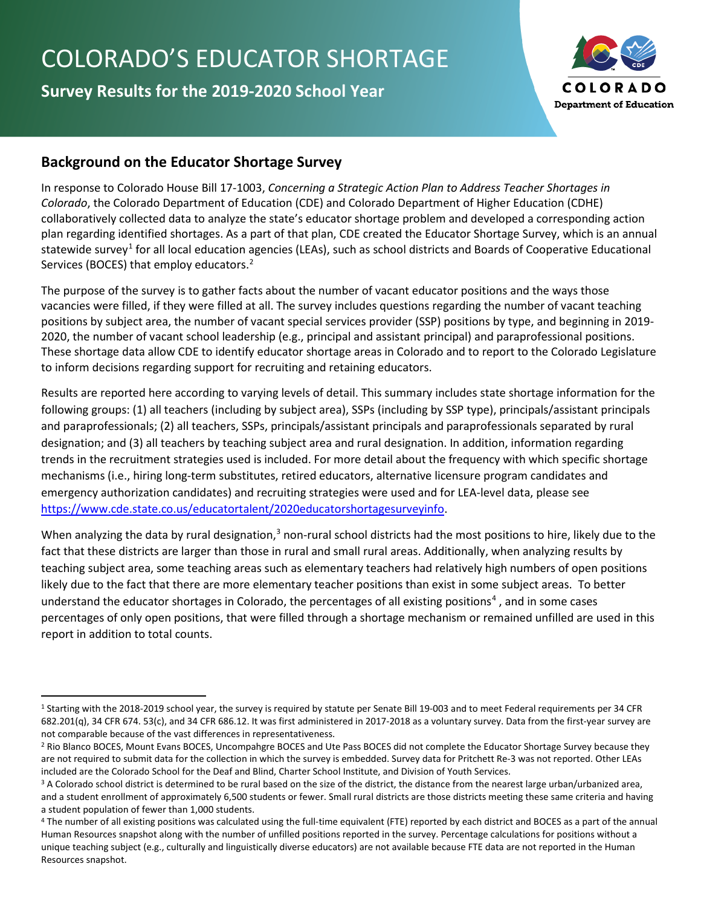# COLORADO'S EDUCATOR SHORTAGE

**Survey Results for the 2019-2020 School Year**



# **Background on the Educator Shortage Survey**

In response to Colorado House Bill 17-1003, *Concerning a Strategic Action Plan to Address Teacher Shortages in Colorado*, the Colorado Department of Education (CDE) and Colorado Department of Higher Education (CDHE) collaboratively collected data to analyze the state's educator shortage problem and developed a corresponding action plan regarding identified shortages. As a part of that plan, CDE created the Educator Shortage Survey, which is an annual statewide survey<sup>[1](#page-0-0)</sup> for all local education agencies (LEAs), such as school districts and Boards of Cooperative Educational Services (BOCES) that employ educators.<sup>[2](#page-0-1)</sup>

The purpose of the survey is to gather facts about the number of vacant educator positions and the ways those vacancies were filled, if they were filled at all. The survey includes questions regarding the number of vacant teaching positions by subject area, the number of vacant special services provider (SSP) positions by type, and beginning in 2019- 2020, the number of vacant school leadership (e.g., principal and assistant principal) and paraprofessional positions. These shortage data allow CDE to identify educator shortage areas in Colorado and to report to the Colorado Legislature to inform decisions regarding support for recruiting and retaining educators.

Results are reported here according to varying levels of detail. This summary includes state shortage information for the following groups: (1) all teachers (including by subject area), SSPs (including by SSP type), principals/assistant principals and paraprofessionals; (2) all teachers, SSPs, principals/assistant principals and paraprofessionals separated by rural designation; and (3) all teachers by teaching subject area and rural designation. In addition, information regarding trends in the recruitment strategies used is included. For more detail about the frequency with which specific shortage mechanisms (i.e., hiring long-term substitutes, retired educators, alternative licensure program candidates and emergency authorization candidates) and recruiting strategies were used and for LEA-level data, please see [https://www.cde.state.co.us/educatortalent/2020educatorshortagesurveyinfo.](https://www.cde.state.co.us/educatortalent/2020educatorshortagesurveyinfo)

When analyzing the data by rural designation,<sup>[3](#page-0-2)</sup> non-rural school districts had the most positions to hire, likely due to the fact that these districts are larger than those in rural and small rural areas. Additionally, when analyzing results by teaching subject area, some teaching areas such as elementary teachers had relatively high numbers of open positions likely due to the fact that there are more elementary teacher positions than exist in some subject areas. To better understand the educator shortages in Colorado, the percentages of all existing positions<sup>[4](#page-0-3)</sup>, and in some cases percentages of only open positions, that were filled through a shortage mechanism or remained unfilled are used in this report in addition to total counts.

<span id="page-0-0"></span><sup>1</sup> Starting with the 2018-2019 school year, the survey is required by statute per Senate Bill 19-003 and to meet Federal requirements per 34 CFR 682.201(q), 34 CFR 674. 53(c), and 34 CFR 686.12. It was first administered in 2017-2018 as a voluntary survey. Data from the first-year survey are not comparable because of the vast differences in representativeness.

<span id="page-0-1"></span><sup>&</sup>lt;sup>2</sup> Rio Blanco BOCES, Mount Evans BOCES, Uncompahgre BOCES and Ute Pass BOCES did not complete the Educator Shortage Survey because they are not required to submit data for the collection in which the survey is embedded. Survey data for Pritchett Re-3 was not reported. Other LEAs included are the Colorado School for the Deaf and Blind, Charter School Institute, and Division of Youth Services.<br><sup>3</sup> A Colorado school district is determined to be rural based on the size of the district, the distance fr

<span id="page-0-2"></span>and a student enrollment of approximately 6,500 students or fewer. Small rural districts are those districts meeting these same criteria and having a student population of fewer than 1,000 students.

<span id="page-0-3"></span><sup>4</sup> The number of all existing positions was calculated using the full-time equivalent (FTE) reported by each district and BOCES as a part of the annual Human Resources snapshot along with the number of unfilled positions reported in the survey. Percentage calculations for positions without a unique teaching subject (e.g., culturally and linguistically diverse educators) are not available because FTE data are not reported in the Human Resources snapshot.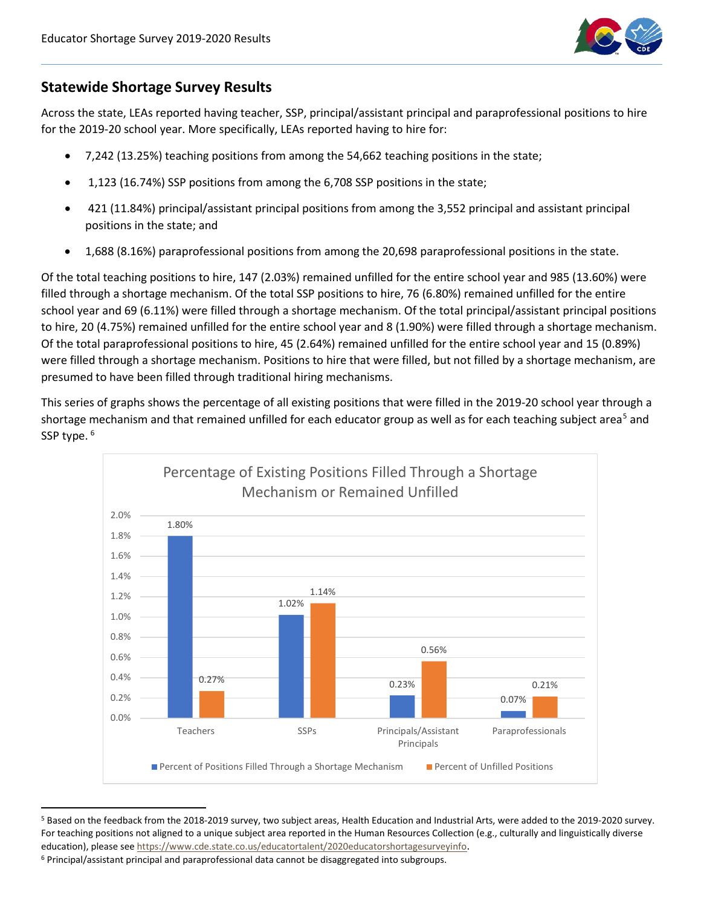

## **Statewide Shortage Survey Results**

Across the state, LEAs reported having teacher, SSP, principal/assistant principal and paraprofessional positions to hire for the 2019-20 school year. More specifically, LEAs reported having to hire for:

- 7,242 (13.25%) teaching positions from among the 54,662 teaching positions in the state;
- 1,123 (16.74%) SSP positions from among the 6,708 SSP positions in the state;
- 421 (11.84%) principal/assistant principal positions from among the 3,552 principal and assistant principal positions in the state; and
- 1,688 (8.16%) paraprofessional positions from among the 20,698 paraprofessional positions in the state.

Of the total teaching positions to hire, 147 (2.03%) remained unfilled for the entire school year and 985 (13.60%) were filled through a shortage mechanism. Of the total SSP positions to hire, 76 (6.80%) remained unfilled for the entire school year and 69 (6.11%) were filled through a shortage mechanism. Of the total principal/assistant principal positions to hire, 20 (4.75%) remained unfilled for the entire school year and 8 (1.90%) were filled through a shortage mechanism. Of the total paraprofessional positions to hire, 45 (2.64%) remained unfilled for the entire school year and 15 (0.89%) were filled through a shortage mechanism. Positions to hire that were filled, but not filled by a shortage mechanism, are presumed to have been filled through traditional hiring mechanisms.

This series of graphs shows the percentage of all existing positions that were filled in the 2019-20 school year through a shortage mechanism and that remained unfilled for each educator group as well as for each teaching subject area<sup>[5](#page-1-0)</sup> and SSP type. <sup>[6](#page-1-1)</sup>



<span id="page-1-0"></span><sup>5</sup> Based on the feedback from the 2018-2019 survey, two subject areas, Health Education and Industrial Arts, were added to the 2019-2020 survey. For teaching positions not aligned to a unique subject area reported in the Human Resources Collection (e.g., culturally and linguistically diverse education), please se[e https://www.cde.state.co.us/educatortalent/2020educatorshortagesurveyinfo.](https://www.cde.state.co.us/educatortalent/2020educatorshortagesurveyinfo)

<span id="page-1-1"></span><sup>6</sup> Principal/assistant principal and paraprofessional data cannot be disaggregated into subgroups.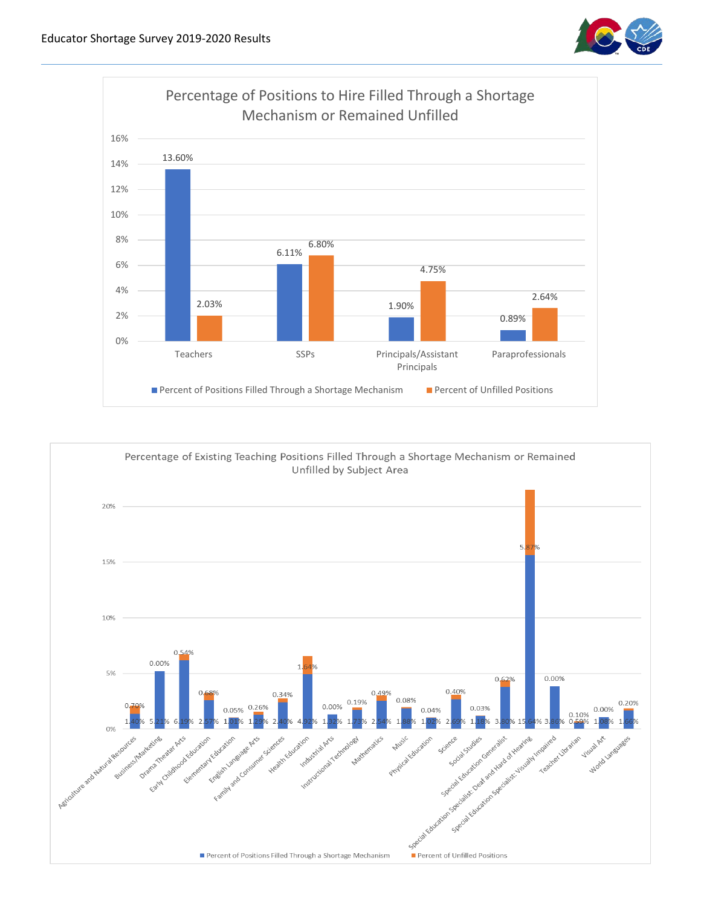



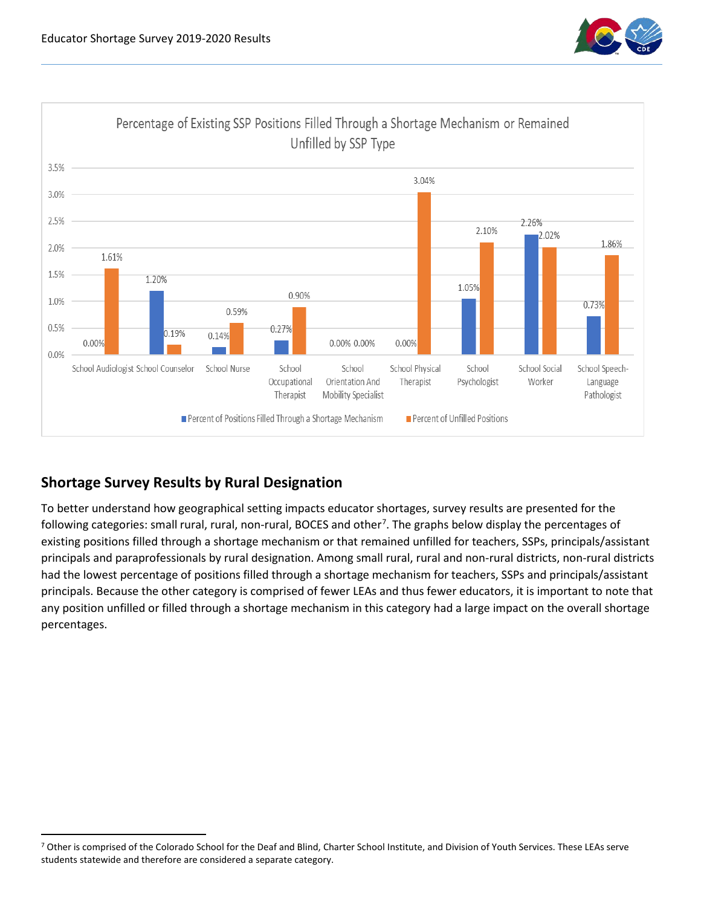



# **Shortage Survey Results by Rural Designation**

To better understand how geographical setting impacts educator shortages, survey results are presented for the following categories: small rural, rural, non-rural, BOCES and other<sup>[7](#page-3-0)</sup>. The graphs below display the percentages of existing positions filled through a shortage mechanism or that remained unfilled for teachers, SSPs, principals/assistant principals and paraprofessionals by rural designation. Among small rural, rural and non-rural districts, non-rural districts had the lowest percentage of positions filled through a shortage mechanism for teachers, SSPs and principals/assistant principals. Because the other category is comprised of fewer LEAs and thus fewer educators, it is important to note that any position unfilled or filled through a shortage mechanism in this category had a large impact on the overall shortage percentages.

<span id="page-3-0"></span><sup>&</sup>lt;sup>7</sup> Other is comprised of the Colorado School for the Deaf and Blind, Charter School Institute, and Division of Youth Services. These LEAs serve students statewide and therefore are considered a separate category.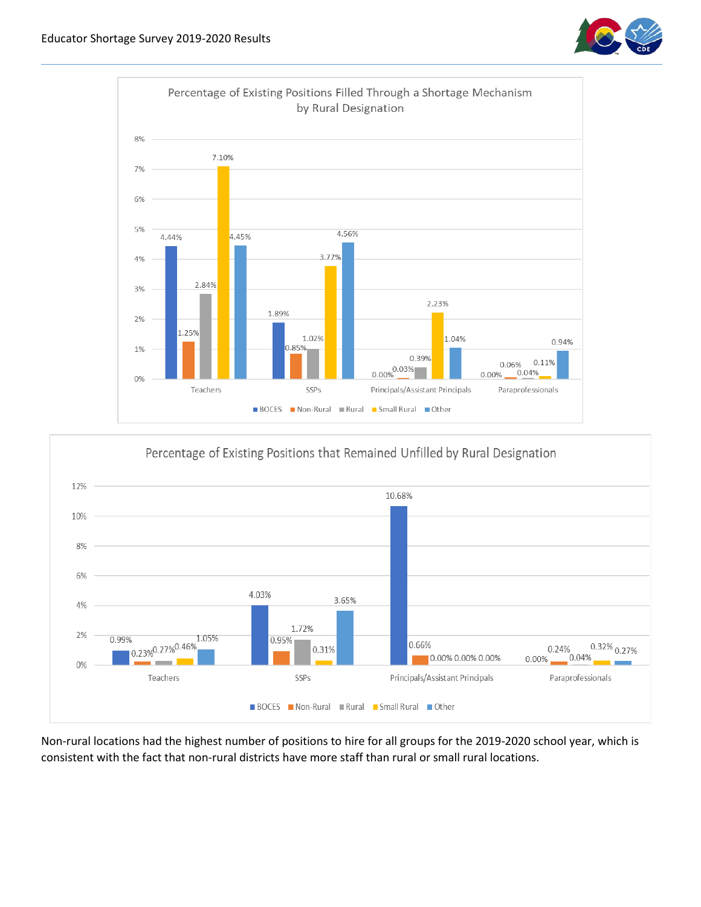





Non-rural locations had the highest number of positions to hire for all groups for the 2019-2020 school year, which is consistent with the fact that non-rural districts have more staff than rural or small rural locations.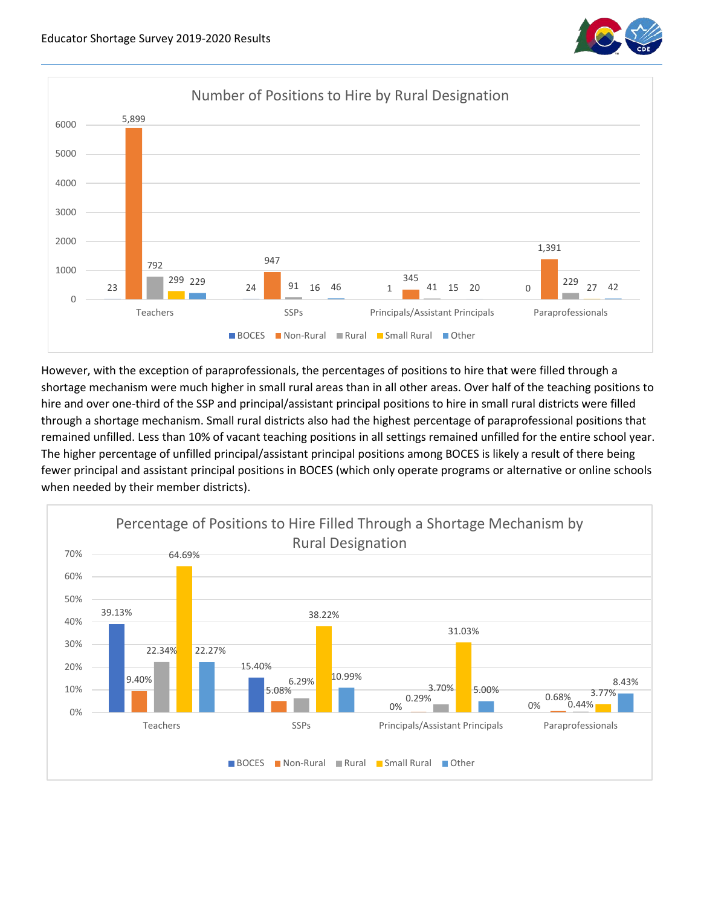



However, with the exception of paraprofessionals, the percentages of positions to hire that were filled through a shortage mechanism were much higher in small rural areas than in all other areas. Over half of the teaching positions to hire and over one-third of the SSP and principal/assistant principal positions to hire in small rural districts were filled through a shortage mechanism. Small rural districts also had the highest percentage of paraprofessional positions that remained unfilled. Less than 10% of vacant teaching positions in all settings remained unfilled for the entire school year. The higher percentage of unfilled principal/assistant principal positions among BOCES is likely a result of there being fewer principal and assistant principal positions in BOCES (which only operate programs or alternative or online schools when needed by their member districts).

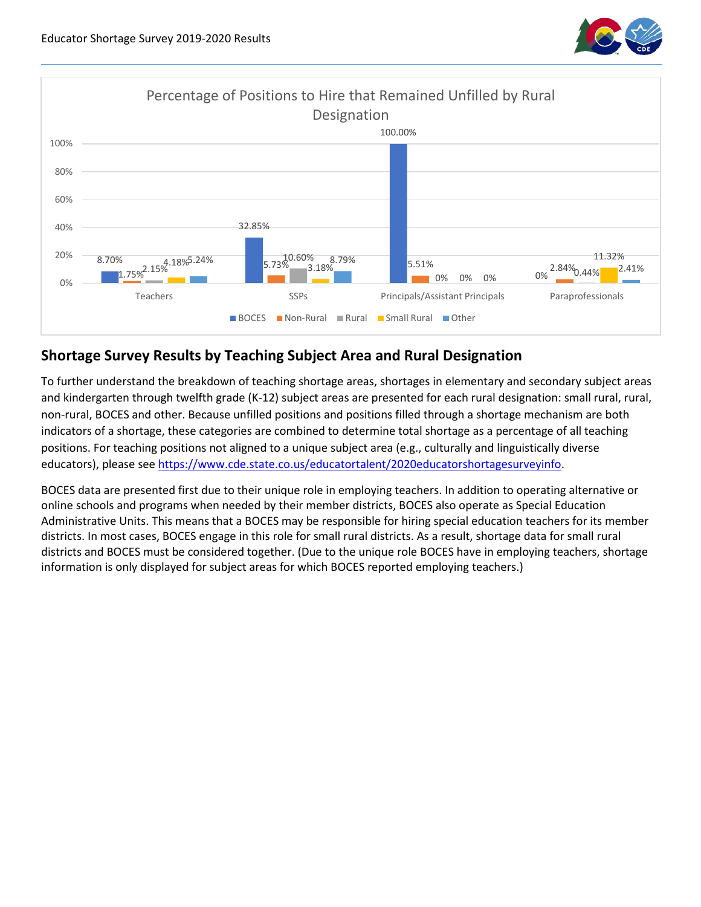



## **Shortage Survey Results by Teaching Subject Area and Rural Designation**

To further understand the breakdown of teaching shortage areas, shortages in elementary and secondary subject areas and kindergarten through twelfth grade (K-12) subject areas are presented for each rural designation: small rural, rural, non-rural, BOCES and other. Because unfilled positions and positions filled through a shortage mechanism are both indicators of a shortage, these categories are combined to determine total shortage as a percentage of all teaching positions. For teaching positions not aligned to a unique subject area (e.g., culturally and linguistically diverse educators), please see [https://www.cde.state.co.us/educatortalent/2020educatorshortagesurveyinfo.](https://www.cde.state.co.us/educatortalent/2020educatorshortagesurveyinfo)

BOCES data are presented first due to their unique role in employing teachers. In addition to operating alternative or online schools and programs when needed by their member districts, BOCES also operate as Special Education Administrative Units. This means that a BOCES may be responsible for hiring special education teachers for its member districts. In most cases, BOCES engage in this role for small rural districts. As a result, shortage data for small rural districts and BOCES must be considered together. (Due to the unique role BOCES have in employing teachers, shortage information is only displayed for subject areas for which BOCES reported employing teachers.)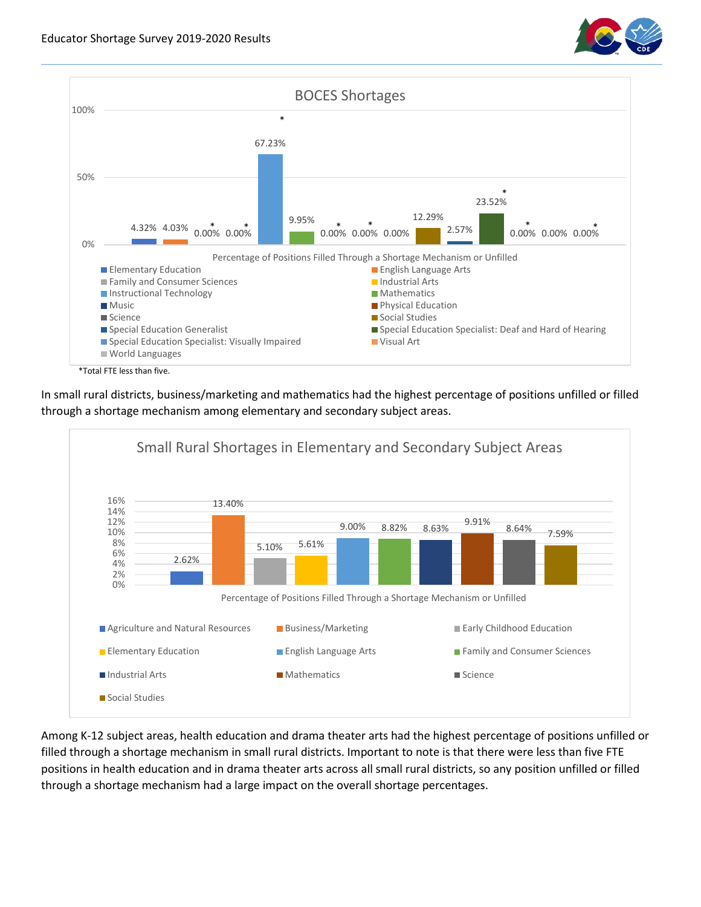



In small rural districts, business/marketing and mathematics had the highest percentage of positions unfilled or filled through a shortage mechanism among elementary and secondary subject areas.



Among K-12 subject areas, health education and drama theater arts had the highest percentage of positions unfilled or filled through a shortage mechanism in small rural districts. Important to note is that there were less than five FTE positions in health education and in drama theater arts across all small rural districts, so any position unfilled or filled through a shortage mechanism had a large impact on the overall shortage percentages.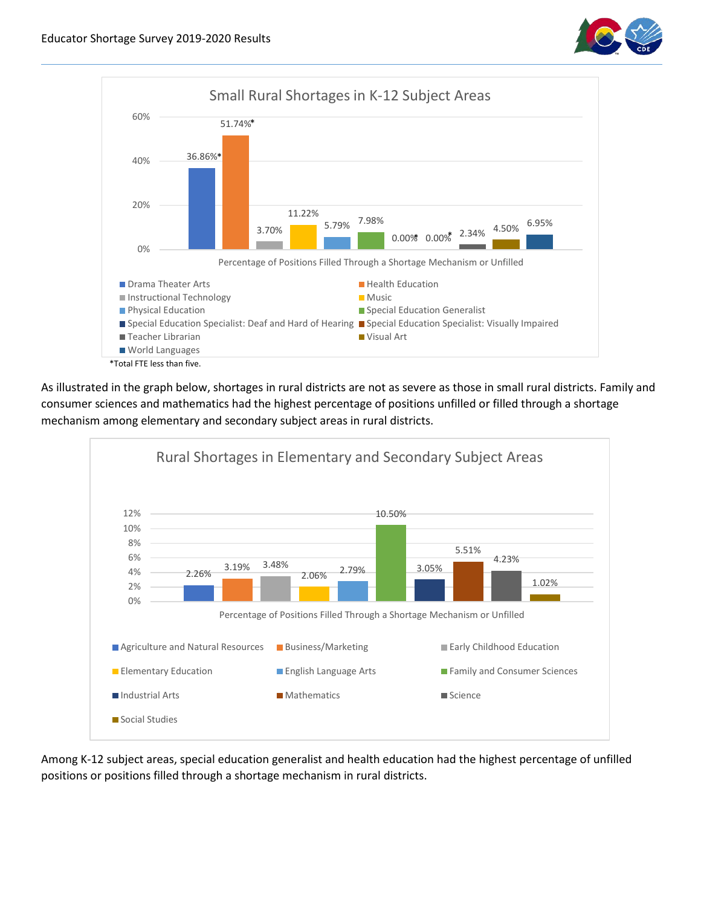



As illustrated in the graph below, shortages in rural districts are not as severe as those in small rural districts. Family and consumer sciences and mathematics had the highest percentage of positions unfilled or filled through a shortage mechanism among elementary and secondary subject areas in rural districts.



Among K-12 subject areas, special education generalist and health education had the highest percentage of unfilled positions or positions filled through a shortage mechanism in rural districts.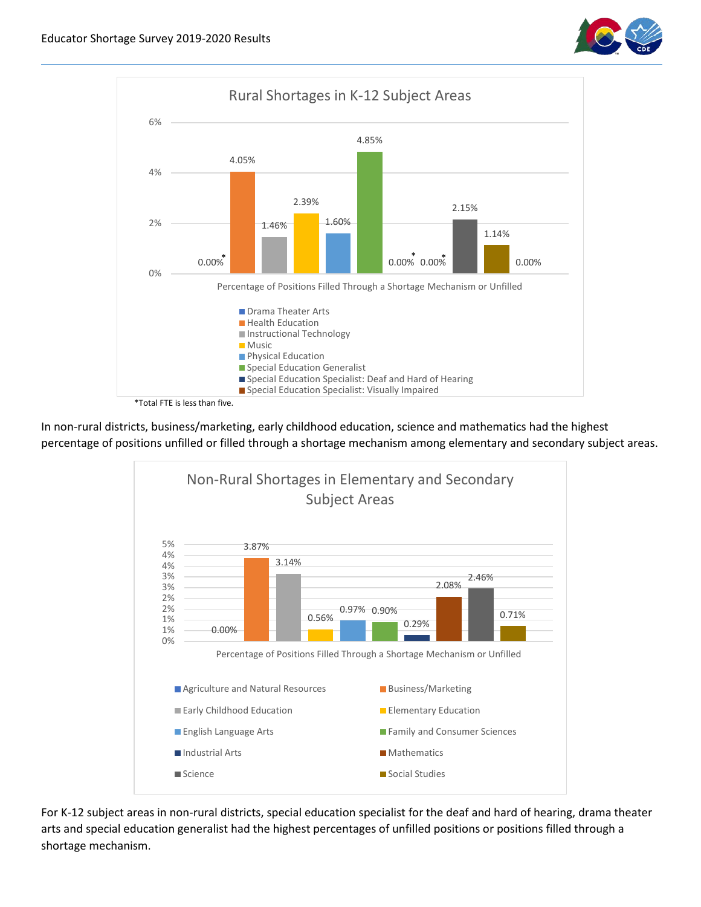



In non-rural districts, business/marketing, early childhood education, science and mathematics had the highest percentage of positions unfilled or filled through a shortage mechanism among elementary and secondary subject areas.



For K-12 subject areas in non-rural districts, special education specialist for the deaf and hard of hearing, drama theater arts and special education generalist had the highest percentages of unfilled positions or positions filled through a shortage mechanism.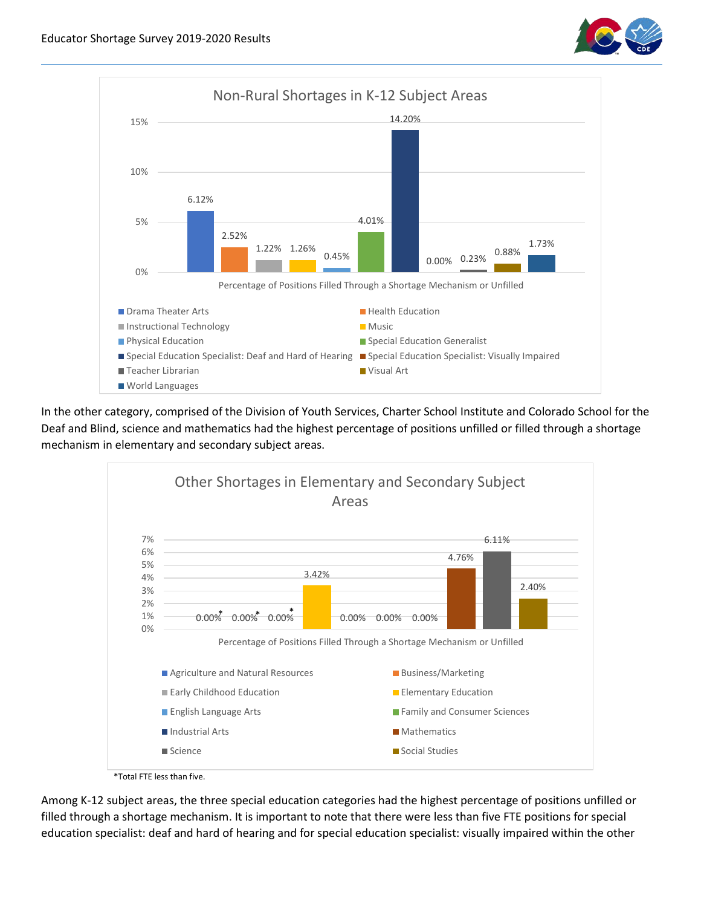



In the other category, comprised of the Division of Youth Services, Charter School Institute and Colorado School for the Deaf and Blind, science and mathematics had the highest percentage of positions unfilled or filled through a shortage mechanism in elementary and secondary subject areas.



 <sup>\*</sup>Total FTE less than five.

Among K-12 subject areas, the three special education categories had the highest percentage of positions unfilled or filled through a shortage mechanism. It is important to note that there were less than five FTE positions for special education specialist: deaf and hard of hearing and for special education specialist: visually impaired within the other